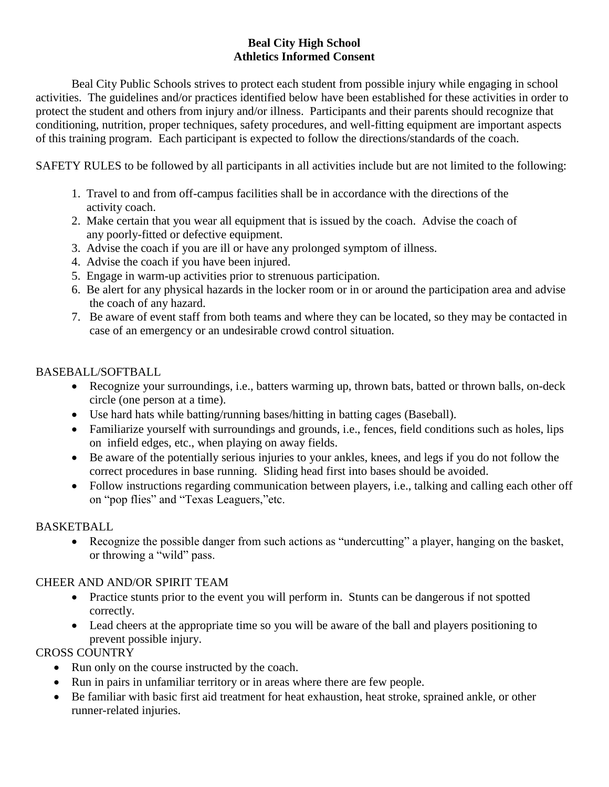## **Beal City High School Athletics Informed Consent**

Beal City Public Schools strives to protect each student from possible injury while engaging in school activities. The guidelines and/or practices identified below have been established for these activities in order to protect the student and others from injury and/or illness. Participants and their parents should recognize that conditioning, nutrition, proper techniques, safety procedures, and well-fitting equipment are important aspects of this training program. Each participant is expected to follow the directions/standards of the coach.

SAFETY RULES to be followed by all participants in all activities include but are not limited to the following:

- 1. Travel to and from off-campus facilities shall be in accordance with the directions of the activity coach.
- 2. Make certain that you wear all equipment that is issued by the coach. Advise the coach of any poorly-fitted or defective equipment.
- 3. Advise the coach if you are ill or have any prolonged symptom of illness.
- 4. Advise the coach if you have been injured.
- 5. Engage in warm-up activities prior to strenuous participation.
- 6. Be alert for any physical hazards in the locker room or in or around the participation area and advise the coach of any hazard.
- 7. Be aware of event staff from both teams and where they can be located, so they may be contacted in case of an emergency or an undesirable crowd control situation.

## BASEBALL/SOFTBALL

- Recognize your surroundings, i.e., batters warming up, thrown bats, batted or thrown balls, on-deck circle (one person at a time).
- Use hard hats while batting/running bases/hitting in batting cages (Baseball).
- Familiarize yourself with surroundings and grounds, i.e., fences, field conditions such as holes, lips on infield edges, etc., when playing on away fields.
- Be aware of the potentially serious injuries to your ankles, knees, and legs if you do not follow the correct procedures in base running. Sliding head first into bases should be avoided.
- Follow instructions regarding communication between players, i.e., talking and calling each other off on "pop flies" and "Texas Leaguers,"etc.

# BASKETBALL

 Recognize the possible danger from such actions as "undercutting" a player, hanging on the basket, or throwing a "wild" pass.

# CHEER AND AND/OR SPIRIT TEAM

- Practice stunts prior to the event you will perform in. Stunts can be dangerous if not spotted correctly.
- Lead cheers at the appropriate time so you will be aware of the ball and players positioning to prevent possible injury.

# CROSS COUNTRY

- Run only on the course instructed by the coach.
- Run in pairs in unfamiliar territory or in areas where there are few people.
- Be familiar with basic first aid treatment for heat exhaustion, heat stroke, sprained ankle, or other runner-related injuries.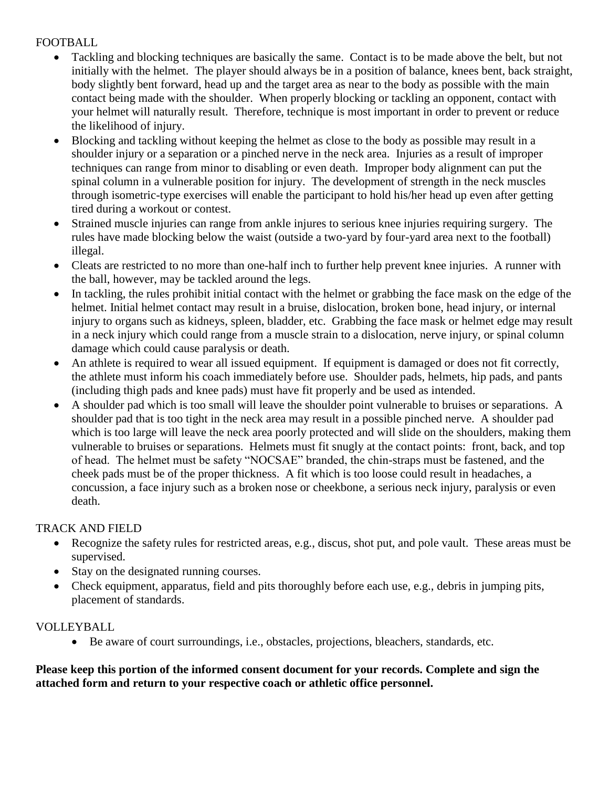## FOOTBALL

- Tackling and blocking techniques are basically the same. Contact is to be made above the belt, but not initially with the helmet. The player should always be in a position of balance, knees bent, back straight, body slightly bent forward, head up and the target area as near to the body as possible with the main contact being made with the shoulder. When properly blocking or tackling an opponent, contact with your helmet will naturally result. Therefore, technique is most important in order to prevent or reduce the likelihood of injury.
- Blocking and tackling without keeping the helmet as close to the body as possible may result in a shoulder injury or a separation or a pinched nerve in the neck area. Injuries as a result of improper techniques can range from minor to disabling or even death. Improper body alignment can put the spinal column in a vulnerable position for injury. The development of strength in the neck muscles through isometric-type exercises will enable the participant to hold his/her head up even after getting tired during a workout or contest.
- Strained muscle injuries can range from ankle injures to serious knee injuries requiring surgery. The rules have made blocking below the waist (outside a two-yard by four-yard area next to the football) illegal.
- Cleats are restricted to no more than one-half inch to further help prevent knee injuries. A runner with the ball, however, may be tackled around the legs.
- In tackling, the rules prohibit initial contact with the helmet or grabbing the face mask on the edge of the helmet. Initial helmet contact may result in a bruise, dislocation, broken bone, head injury, or internal injury to organs such as kidneys, spleen, bladder, etc. Grabbing the face mask or helmet edge may result in a neck injury which could range from a muscle strain to a dislocation, nerve injury, or spinal column damage which could cause paralysis or death.
- An athlete is required to wear all issued equipment. If equipment is damaged or does not fit correctly, the athlete must inform his coach immediately before use. Shoulder pads, helmets, hip pads, and pants (including thigh pads and knee pads) must have fit properly and be used as intended.
- A shoulder pad which is too small will leave the shoulder point vulnerable to bruises or separations. A shoulder pad that is too tight in the neck area may result in a possible pinched nerve. A shoulder pad which is too large will leave the neck area poorly protected and will slide on the shoulders, making them vulnerable to bruises or separations. Helmets must fit snugly at the contact points: front, back, and top of head. The helmet must be safety "NOCSAE" branded, the chin-straps must be fastened, and the cheek pads must be of the proper thickness. A fit which is too loose could result in headaches, a concussion, a face injury such as a broken nose or cheekbone, a serious neck injury, paralysis or even death.

# TRACK AND FIELD

- Recognize the safety rules for restricted areas, e.g., discus, shot put, and pole vault. These areas must be supervised.
- Stay on the designated running courses.
- Check equipment, apparatus, field and pits thoroughly before each use, e.g., debris in jumping pits, placement of standards.

# VOLLEYBALL

Be aware of court surroundings, i.e., obstacles, projections, bleachers, standards, etc.

## **Please keep this portion of the informed consent document for your records. Complete and sign the attached form and return to your respective coach or athletic office personnel.**